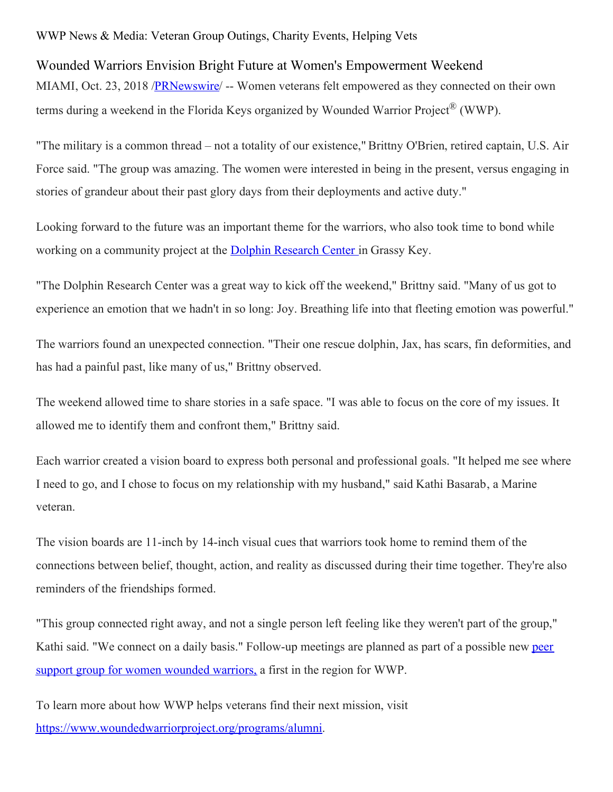## WWP News & Media: Veteran Group Outings, Charity Events, Helping Vets

## Wounded Warriors Envision Bright Future at Women's Empowerment Weekend

MIAMI, Oct. 23, 2018 /**PRNewswire**/ -- Women veterans felt empowered as they connected on their own terms during a weekend in the Florida Keys organized by Wounded Warrior Project® (WWP).

"The military is a common thread – not a totality of our existence," Brittny O'Brien, retired captain, U.S. Air Force said. "The group was amazing. The women were interested in being in the present, versus engaging in stories of grandeur about their past glory days from their deployments and active duty."

Looking forward to the future was an important theme for the warriors, who also took time to bond while working on a community project at the Dolphin [Research](https://dolphins.org/) Center in Grassy Key.

"The Dolphin Research Center was a great way to kick off the weekend," Brittny said. "Many of us got to experience an emotion that we hadn't in so long: Joy. Breathing life into that fleeting emotion was powerful."

The warriors found an unexpected connection. "Their one rescue dolphin, Jax, has scars, fin deformities, and has had a painful past, like many of us," Brittny observed.

The weekend allowed time to share stories in a safe space. "I was able to focus on the core of my issues. It allowed me to identify them and confront them," Brittny said.

Each warrior created a vision board to express both personal and professional goals. "It helped me see where I need to go, and I chose to focus on my relationship with my husband," said Kathi Basarab, a Marine veteran.

The vision boards are 11-inch by 14-inch visual cues that warriors took home to remind them of the connections between belief, thought, action, and reality as discussed during their time together. They're also reminders of the friendships formed.

"This group connected right away, and not a single person left feeling like they weren't part of the group," Kathi said. "We connect on a daily basis." [Follow-up](https://www.woundedwarriorproject.org/programs/peer-support) meetings are planned as part of a possible new peer support group for women wounded warriors, a first in the region for WWP.

To learn more about how WWP helps veterans find their next mission, visit [https://www.woundedwarriorproject.org/programs/alumni](https://c212.net/c/link/?t=0&l=en&o=2276789-1&h=1384036842&u=https%3A%2F%2Fwww.woundedwarriorproject.org%2Fprograms%2Falumni&a=https%3A%2F%2Fwww.woundedwarriorproject.org%2Fprograms%2Falumni).